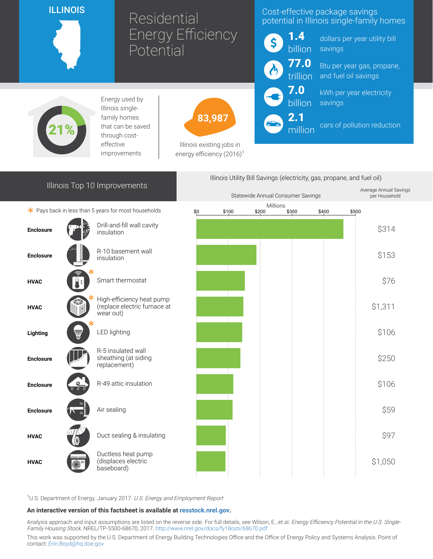## ILLINOIS

# Residential Energy Efficiency Potential

# Cost-effective package savings potential in Illinois single-family homes

1.4 billion

> 7.0 billion

2.1

million

dollars per year utility bill savings

77.0 trillion Btu per year gas, propane, and fuel oil savings

> kWh per year electricity savings

cars of pollution reduction



Energy used by Illinois singlefamily homes that can be saved through costeffective improvements



Illinois existing jobs in energy efficiency  $(2016)^1$ 

# Illinois Top 10 Improvements

 $*$  Pays back in less than 5 years for most households





<sup>1</sup>U.S. Department of Energy. January 2017. U.S. Energy and Employment Report

#### An interactive version of this factsheet is available at [resstock.nrel.gov.](https://resstock.nrel.gov/)

Analysis approach and input assumptions are listed on the reverse side. For full details, see Wilson, E., et al. Energy Efficiency Potential in the U.S. Single-Family Housing Stock. NREL/TP-5500-68670, 2017. <http://www.nrel.gov/docs/fy18osti/68670.pdf>

This work was supported by the U.S. Department of Energy Building Technologies Office and the Office of Energy Policy and Systems Analysis. Point of contact: [Erin.Boyd@hq.doe.gov](mailto:Erin.Boyd@hq.doe.gov)